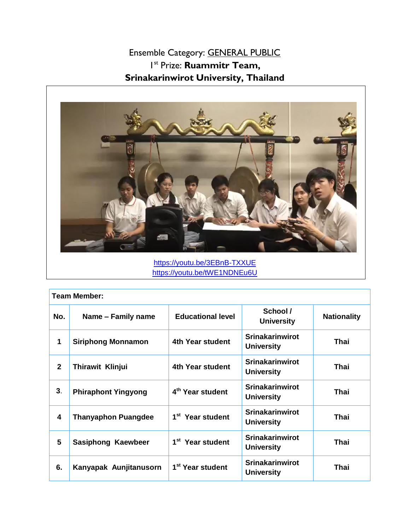Ensemble Category: GENERAL PUBLIC 1 st Prize: **Ruammitr Team, Srinakarinwirot University, Thailand**



<https://youtu.be/3EBnB-TXXUE> <https://youtu.be/tWE1NDNEu6U>

| <b>Team Member:</b> |                            |                              |                                             |                    |
|---------------------|----------------------------|------------------------------|---------------------------------------------|--------------------|
| No.                 | Name - Family name         | <b>Educational level</b>     | School /<br><b>University</b>               | <b>Nationality</b> |
| 1                   | <b>Siriphong Monnamon</b>  | 4th Year student             | <b>Srinakarinwirot</b><br><b>University</b> | Thai               |
| $\overline{2}$      | Thirawit Klinjui           | 4th Year student             | <b>Srinakarinwirot</b><br><b>University</b> | Thai               |
| 3.                  | <b>Phiraphont Yingyong</b> | 4 <sup>th</sup> Year student | <b>Srinakarinwirot</b><br><b>University</b> | Thai               |
| 4                   | <b>Thanyaphon Puangdee</b> | 1 <sup>st</sup> Year student | <b>Srinakarinwirot</b><br><b>University</b> | Thai               |
| 5                   | Sasiphong Kaewbeer         | 1 <sup>st</sup> Year student | <b>Srinakarinwirot</b><br><b>University</b> | Thai               |
| 6.                  | Kanyapak Aunjitanusorn     | 1 <sup>st</sup> Year student | <b>Srinakarinwirot</b><br><b>University</b> | Thai               |